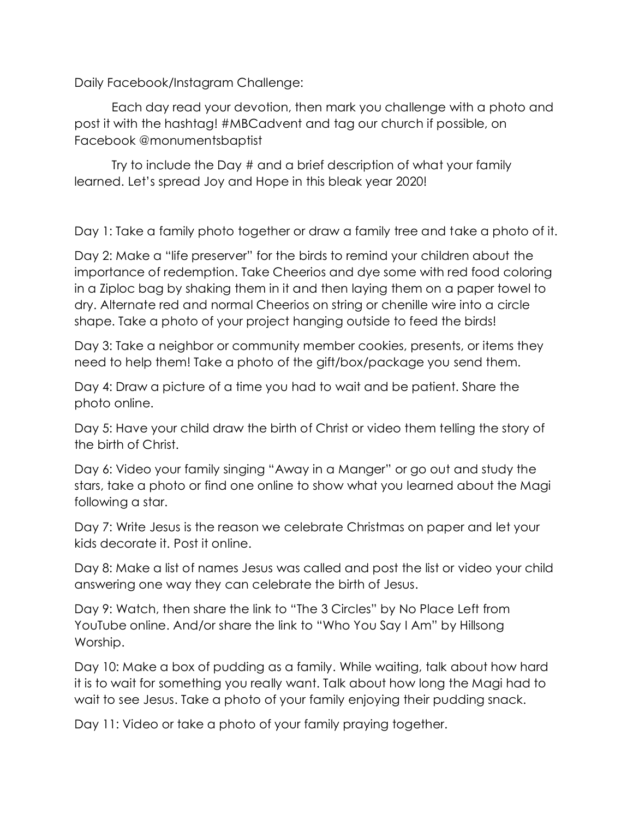Daily Facebook/Instagram Challenge:

Each day read your devotion, then mark you challenge with a photo and post it with the hashtag! #MBCadvent and tag our church if possible, on Facebook @monumentsbaptist

Try to include the Day # and a brief description of what your family learned. Let's spread Joy and Hope in this bleak year 2020!

Day 1: Take a family photo together or draw a family tree and take a photo of it.

Day 2: Make a "life preserver" for the birds to remind your children about the importance of redemption. Take Cheerios and dye some with red food coloring in a Ziploc bag by shaking them in it and then laying them on a paper towel to dry. Alternate red and normal Cheerios on string or chenille wire into a circle shape. Take a photo of your project hanging outside to feed the birds!

Day 3: Take a neighbor or community member cookies, presents, or items they need to help them! Take a photo of the gift/box/package you send them.

Day 4: Draw a picture of a time you had to wait and be patient. Share the photo online.

Day 5: Have your child draw the birth of Christ or video them telling the story of the birth of Christ.

Day 6: Video your family singing "Away in a Manger" or go out and study the stars, take a photo or find one online to show what you learned about the Magi following a star.

Day 7: Write Jesus is the reason we celebrate Christmas on paper and let your kids decorate it. Post it online.

Day 8: Make a list of names Jesus was called and post the list or video your child answering one way they can celebrate the birth of Jesus.

Day 9: Watch, then share the link to "The 3 Circles" by No Place Left from YouTube online. And/or share the link to "Who You Say I Am" by Hillsong Worship.

Day 10: Make a box of pudding as a family. While waiting, talk about how hard it is to wait for something you really want. Talk about how long the Magi had to wait to see Jesus. Take a photo of your family enjoying their pudding snack.

Day 11: Video or take a photo of your family praying together.